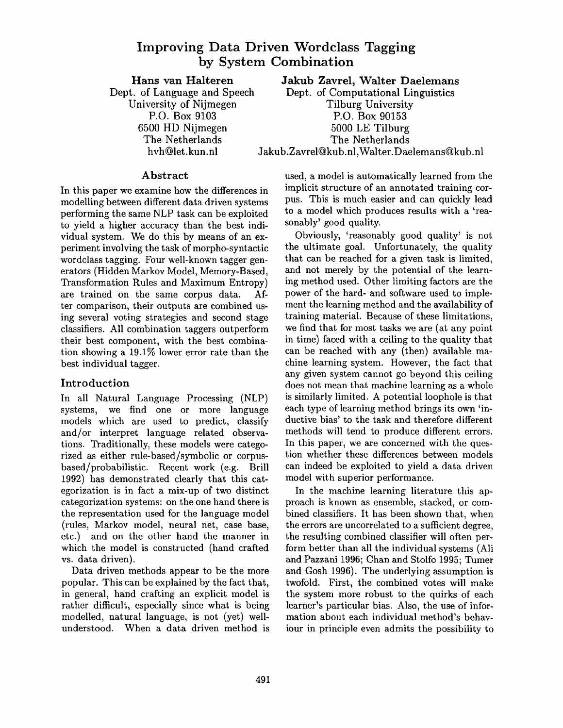# **Improving Data Driven Wordclass Tagging by System Combination**

## Hans van **Halteren**

Dept. of Language and Speech University of Nijmegen P.O. Box 9103 6500 HD Nijmegen The Netherlands hvh@let.kun.nl

Jakub Zavrel, Walter Daelemans

Dept. of Computational Linguistics Tilburg University P.O. Box 90153 5000 LE Tilburg The Netherlands Jakub.Zavrel@kub.nl,Walter.Daelemans@kub.nl

Abstract

In this paper we examine how the differences in modelling between different data driven systems performing the same NLP task can be exploited to yield a higher accuracy than the best individual system. We do this by means of an experiment involving the task of morpho-syntactic wordclass tagging. Four well-known tagger generators (Hidden Markov Model, Memory-Based, Transformation Rules and Maximum Entropy) are trained on the same corpus data. After comparison, their outputs are combined using several voting strategies and second stage classifiers. All combination taggers outperform their best component, with the best combination showing a 19.1% lower error rate than the best individual tagger.

# Introduction

In all Natural Language Processing (NLP) systems, we find one or more language models which are used to predict, classify and/or interpret language related observations. Traditionally, these models were categorized as either rule-based/symbolic or corpusbased/probabilistic. Recent work (e.g. Brill 1992) has demonstrated clearly that this categorization is in fact a mix-up of two distinct Categorization systems: on the one hand there is the representation used for the language model (rules, Markov model, neural net, case base, etc.) and on the other hand the manner in which the model is constructed (hand crafted vs. data driven).

Data driven methods appear to be the more popular. This can be explained by the fact that, in general, hand crafting an explicit model is rather difficult, especially since what is being modelled, natural language, is not (yet) wellunderstood. When a data driven method is

used, a model is automatically learned from the implicit structure of an annotated training corpus. This is much easier and can quickly lead **to** a model which produces results with a 'reasonably' good quality.

Obviously, 'reasonably good quality' is not the ultimate goal. Unfortunately, the quality that can be reached for a given task is limited, and not merely by the potential of the learning method used. Other limiting factors are the power of the hard- and software used to implement the learning method and the availability of training material. Because of these limitations, we find that for most tasks we are (at any point in time) faced with a ceiling to the quality that can be reached with any (then) available machine learning system. However, the fact that any given system cannot go beyond this ceiling does not mean that machine learning as a whole is similarly limited. A potential loophole is that each type of learning method brings its own 'inductive bias' to the task and therefore different methods will tend to produce different errors. In this paper, we are concerned with the question whether these differences between models can indeed be exploited to yield a data driven model with superior performance.

In the machine learning literature this approach is known as ensemble, stacked, or combined classifiers. It has been shown that, when the errors are uncorrelated to a sufficient degree, the resulting combined classifier will often perform better than all the individual systems (Ali and Pazzani 1996; Chan and Stolfo 1995; Tumer and Gosh 1996). The underlying assumption is twofold. First, the combined votes will make the system more robust to the quirks of each learner's particular bias. Also, the use of information about each individual method's behaviour in principle even admits the possibility to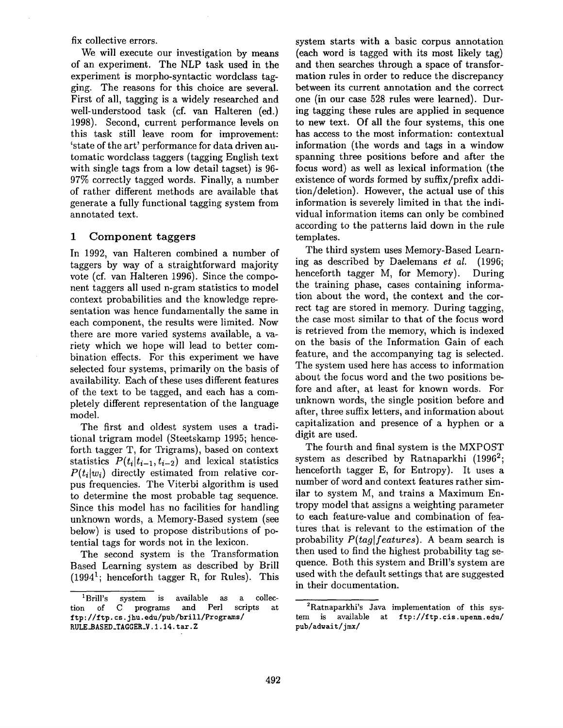fix collective errors.

We will execute our investigation by means of an experiment. The NLP task used in the experiment is morpho-syntactic wordclass tagging. The reasons for this choice are several. First of all, tagging is a widely researched and well-understood task (cf. van Halteren (ed.) 1998). Second, current performance levels on this task still leave room for improvement: 'state of the art' performance for data driven automatic wordclass taggers (tagging English text with single tags from a low detail tagset) is 96- 97% correctly tagged words. Finally, a number of rather different methods are available that generate a fully functional tagging system from annotated text.

#### 1 Component taggers

In 1992, van Halteren combined a number of taggers by way of a straightforward majority vote (cf. van Halteren 1996). Since the component taggers all used n-gram statistics to model context probabilities and the knowledge representation was hence fundamentally the same in each component, the results were limited. Now there are more varied systems available, a variety which we hope will lead to better combination effects. For this experiment we have selected four systems, primarily on the basis of availability. Each of these uses different features of the text to be tagged, and each has a completely different representation of the language model.

The first and oldest system uses a traditional trigram model (Steetskamp 1995; henceforth tagger T, for Trigrams), based on context statistics  $P(t_i|t_{i-1}, t_{i-2})$  and lexical statistics  $P(t_i|w_i)$  directly estimated from relative corpus frequencies. The Viterbi algorithm is used to determine the most probable tag sequence. Since this model has no facilities for handling unknown words, a Memory-Based system (see below) is used to propose distributions of potential tags for words not in the lexicon.

The second system is the Transformation Based Learning system as described by Brill  $(1994<sup>1</sup>)$ ; henceforth tagger R, for Rules). This system starts with a basic corpus annotation (each word is tagged with its most likely tag) and then searches through a space of transformation rules in order to reduce the discrepancy between its current annotation and the correct one (in our case 528 rules were learned). During tagging these rules are applied in sequence to new text. Of all the four systems, this one has access to the most information: contextual information (the words and tags in a window spanning three positions before and after the focus word) as well as lexical information (the existence of words formed by suffix/prefix addition/deletion). However, the actual use of this information is severely limited in that the individual information items can only be combined according to the patterns laid down in the rule templates.

The third system uses Memory-Based Learning as described by Daelemans *et al.* (1996; henceforth tagger M, for Memory). During the training phase, cases containing information about the word, the context and the correct tag are stored in memory. During tagging, the case most similar to that of the focus word is retrieved from the memory, which is indexed on the basis of the Information Gain of each feature, and the accompanying tag is selected. The system used here has access to information about the focus word and the two positions before and after, at least for known words. For unknown words, the single position before and after, three suffix letters, and information about capitalization and presence of a hyphen or a digit are used.

The fourth and final system is the MXPOST system as described by Ratnaparkhi  $(1996^2;$ henceforth tagger E, for Entropy). It uses a number of word and context features rather similar to system M, and trains a Maximum Entropy model that assigns a weighting parameter to each feature-value and combination of features that is relevant to the estimation of the probability *P(tag[features).* A beam search is then used to find the highest probability tag sequence. Both this system and Brill's system are used with the default settings that are suggested in their documentation.

 $1$ Brill's system is available as a collec-<br>n of C programs and Perl scripts at tion of C programs and Perl scripts at ftp ://ftp. cs. j hu. edu/pub/brill/Programs/ RULE\_BASED\_TAGGER\_V. I. 14. tar. Z

 ${}^{2}$ Ratnaparkhi's Java implementation of this system is available at ftp://ftp.cis.upenn.edu/ pub/adwait/jmx/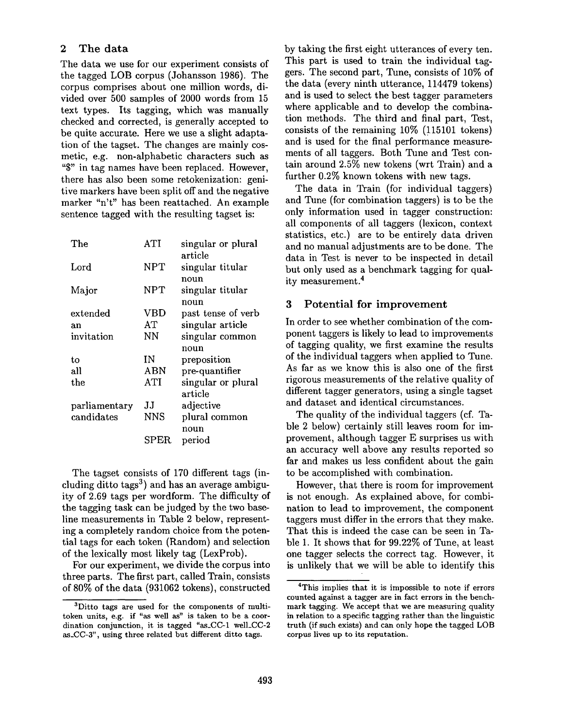# 2 The data

The data we use for our experiment consists of the tagged LOB corpus (Johansson 1986). The corpus comprises about one million words, divided over 500 samples of 2000 words from 15 text types. Its tagging, which was manually checked and corrected, is generally accepted to be quite accurate. Here we use a slight adaptation of the tagset. The changes are mainly cosmetic, e.g. non-alphabetic characters such as "\$" in tag names have been replaced. However, there has also been some retokenization: genitive markers have been split off and the negative marker "n't" has been reattached. An example sentence tagged with the resulting tagset is:

| The           | ATI        | singular or plural |
|---------------|------------|--------------------|
|               |            | article            |
| Lord          | <b>NPT</b> | singular titular   |
|               |            | noun               |
| Major         | NPT        | singular titular   |
|               |            | noun               |
| extended      | VBD        | past tense of verb |
| an            | AT         | singular article   |
| invitation    | NN         | singular common    |
|               |            | noun               |
| to            | ĪΝ         | preposition        |
| all           | <b>ABN</b> | pre-quantifier     |
| the           | <b>ATI</b> | singular or plural |
|               |            | article            |
| parliamentary | IJ         | adjective          |
| candidates    | <b>NNS</b> | plural common      |
|               |            | noun               |
|               | SPER.      | period             |

The tagset consists of 170 different tags (including ditto tags<sup>3</sup>) and has an average ambiguity of 2.69 tags per wordform. The difficulty of the tagging task can be judged by the two baseline measurements in Table 2 below, representing a completely random choice from the potential tags for each token (Random) and selection of the lexically most likely tag (LexProb).

For our experiment, we divide the corpus into three parts. The first part, called Train, consists of 80% of the data (931062 tokens), constructed by taking the first eight utterances of every ten. This part is used to train the individual taggers. The second part, Tune, consists of 10% of the data (every ninth utterance, 114479 tokens) and is used to select the best tagger parameters where applicable and to develop the combination methods. The third and final part, Test, consists of the remaining  $10\%$  (115101 tokens) and is used for the final performance measurements of all taggers. Both Tune and Test contain around 2.5% new tokens (wrt Train) and a further 0.2% known tokens with new tags.

The data in Train (for individual taggers) and Tune (for combination taggers) is to be the only information used in tagger construction: all components of all taggers (lexicon, context statistics, etc.) are to be entirely data driven and no manual adjustments are to be done. The data in Test is never to be inspected in detail but only used as a benchmark tagging for quality measurement. 4

# **3 Potential for** improvement

In order to see whether combination of the component taggers is likely to lead to improvements of tagging quality, we first examine the results of the individual taggers when applied to Tune. As far as we know this is also one of the first rigorous measurements of the relative quality of different tagger generators, using a single tagset and dataset and identical circumstances.

The quality of the individual taggers (cf. Table 2 below) certainly still leaves room for improvement, although tagger E surprises us with an accuracy well above any results reported so far and makes us less confident about the gain to be accomplished with combination.

However, that there is room for improvement is not enough. As explained above, for combination to lead to improvement, the component taggers must differ in the errors that they make. That this is indeed the case can be seen in Table 1. It shows that for 99.22% of Tune, at least one tagger selects the correct tag. However, it is unlikely that we will be able to identify this

<sup>3</sup>Ditto tags are used for the components of multitoken units, e.g. if "as well as" is taken to be a coordination conjunction, it is tagged "as\_CC-1 well\_CC-2 as\_CC-3", using three related but different ditto tags.

<sup>4</sup>This implies that it is impossible to note if errors counted against a tagger are in fact errors in the benchmark tagging. We accept that we are measuring quality in relation to a specific tagging rather than the linguistic truth (if such exists) and can only hope the tagged LOB corpus lives up to its reputation.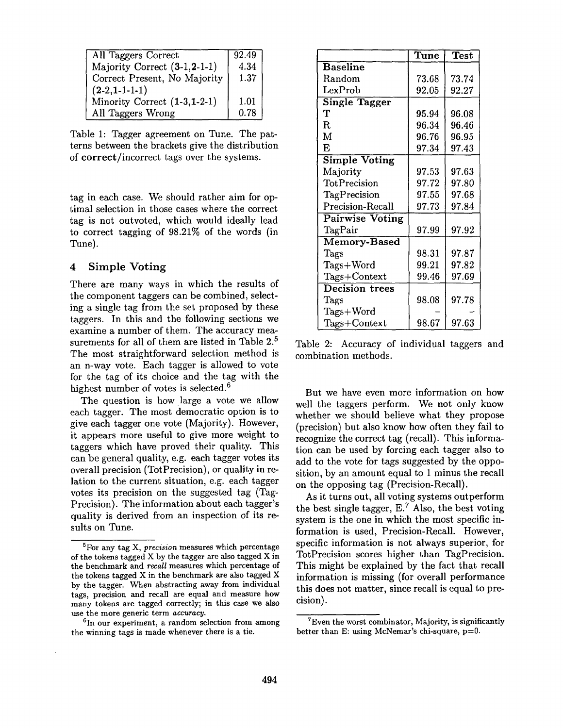| <b>All Taggers Correct</b>     | 92.49 |
|--------------------------------|-------|
| Majority Correct $(3-1,2-1-1)$ | 4.34  |
| Correct Present, No Majority   | 1.37  |
| $(2-2,1-1-1-1)$                |       |
| Minority Correct (1-3,1-2-1)   | 1.01  |
| All Taggers Wrong              | 0.78  |

Table 1: Tagger agreement on Tune. The patterns between the brackets give the distribution of correct/incorrect tags over the systems.

tag in each case. We should rather aim for optimal selection in those cases where the correct tag is not outvoted, which would ideally lead to correct tagging of 98.21% of the words (in Tune).

## 4 Simple Voting

There are many ways in which the results of the component taggers can be combined, selecting a single tag from the set proposed by these taggers. In this and the following sections we examine a number of them. The accuracy measurements for all of them are listed in Table 2.<sup>5</sup> The most straightforward selection method is an n-way vote. Each tagger is allowed to vote for the tag of its choice and the tag with the highest number of votes is selected.<sup>6</sup>

The question is how large a vote we allow each tagger. The most democratic option is to give each tagger one vote (Majority). However, it appears more useful to give more weight to taggers which have proved their quality. This can be general quality, e.g. each tagger votes its overall precision (TotPrecision), or quality in relation to the current situation, e.g. each tagger votes its precision on the suggested tag (Tag-Precision). The information about each tagger's quality is derived from an inspection of its results on Tune.

|                      | Tune  | Test  |
|----------------------|-------|-------|
| <b>Baseline</b>      |       |       |
| Random               | 73.68 | 73.74 |
| LexProb              | 92.05 | 92.27 |
| <b>Single Tagger</b> |       |       |
| т                    | 95.94 | 96.08 |
| R                    | 96.34 | 96.46 |
| M                    | 96.76 | 96.95 |
| E                    | 97.34 | 97.43 |
| <b>Simple Voting</b> |       |       |
| Majority             | 97.53 | 97.63 |
| TotPrecision         | 97.72 | 97.80 |
| TagPrecision         | 97.55 | 97.68 |
| Precision-Recall     | 97.73 | 97.84 |
| Pairwise Voting      |       |       |
| TagPair              | 97.99 | 97.92 |
| Memory-Based         |       |       |
| Tags                 | 98.31 | 97.87 |
| Tags+Word            | 99.21 | 97.82 |
| Tags+Context         | 99.46 | 97.69 |
| Decision trees       |       |       |
| Tags                 | 98.08 | 97.78 |
| Tags+Word            |       |       |
| $Tags+Context$       | 98.67 | 97.63 |

Table 2: Accuracy of individual taggers and combination methods.

But we have even more information on how well the taggers perform. We not only know whether we should believe what they propose (precision) but also know how often they fail to recognize the correct tag (recall). This information can be used by forcing each tagger also **to**  add to the vote for tags suggested by the opposition, by an amount equal to 1 minus the recall on the opposing tag (Precision-Recall).

As it turns out, all voting systems outperform the best single tagger,  $E^7$ . Also, the best voting system is the one in which the most specific information is used, Precision-Recall. However, specific information is not always superior, for TotPrecision scores higher than TagPrecision. This might be explained by the fact that recall information is missing (for overall performance this does not matter, since recall is equal to precision).

<sup>5</sup>For any tag X, *precision* measures which percentage of the tokens tagged X by the tagger are also tagged X in **the** benchmark and *recall* measures which percentage of **the** tokens tagged X in the benchmark are also tagged X by the tagger. When abstracting away from individual tags, precision and recall are equal and measure **how**  many tokens are tagged correctly; in this case we also use the more generic term *accuracy.* 

<sup>&</sup>lt;sup>6</sup>In our experiment, a random selection from among the winning tags is made whenever there is a tie.

<sup>7</sup>Even the worst combinator, Majority, is significantly better than E: using McNemar's chi-square, p=0.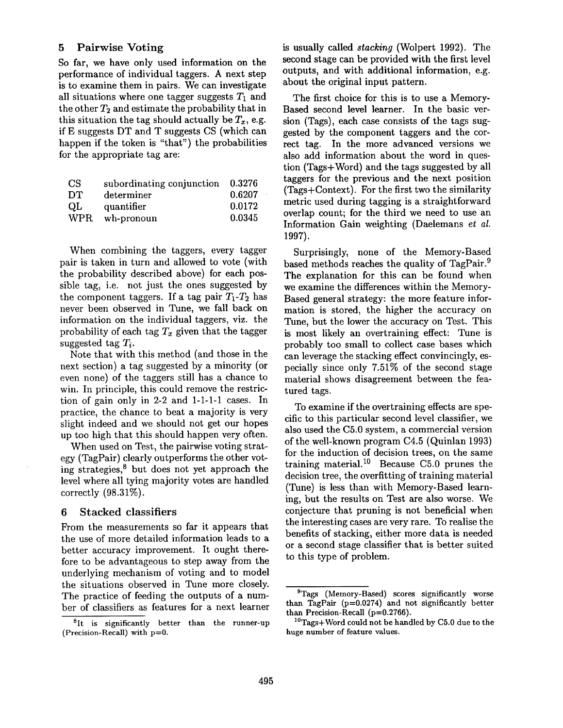## **5 Pairwise Voting**

So far, we have only used information on the performance of individual taggers. A next step is to examine them in pairs. We can investigate all situations where one tagger suggests  $T_1$  and the other  $T_2$  and estimate the probability that in this situation the tag should actually be  $T_x$ , e.g. if E suggests DT and T suggests CS (which can happen if the token is "that") the probabilities for the appropriate tag are:

| CS.        | subordinating conjunction | 0.3276 |
|------------|---------------------------|--------|
| DT         | determiner                | 0.6207 |
| QL         | quantifier                | 0.0172 |
| <b>WPR</b> | wh-pronoun                | 0.0345 |

When combining the taggers, every tagger pair is taken in turn and allowed to vote (with the probability described above) for each possible tag, i.e. not just the ones suggested by the component taggers. If a tag pair  $T_1 - T_2$  has never been observed in Tune, we fall back on information on the individual taggers, viz. the probability of each tag  $T_x$  given that the tagger suggested tag  $T_i$ .

Note that with this method (and those in the next section) a tag suggested by a minority (or even none) of the taggers still has a chance to win. In principle, this could remove the restriction of gain only in 2-2 and 1-1-1-1 cases. In practice, the chance to beat a majority is very slight indeed and we should not get our hopes up too high that this should happen very often.

When used on Test, the pairwise voting strategy (TagPair) clearly outperforms the other voting strategies, $8$  but does not yet approach the level where all tying majority votes are handled correctly  $(98.31\%).$ 

#### 6 Stacked classifiers

From the measurements so far it appears that the use of more detailed information leads to a better accuracy improvement. It ought therefore to be advantageous to step away from the underlying mechanism of voting and to model the situations observed in Tune more closely. The practice of feeding the outputs of a number of classifiers as features for a next learner is usually called *stacking* (Wolpert 1992). The second stage can be provided with the first level outputs, and with additional information, e.g. about the original input pattern.

The first choice for this is to use a Memory-Based second level learner. In the basic version (Tags), each case consists of the tags suggested by the component taggers and the correct tag. In the more advanced versions we also add information about the word in question (Tags+Word) and the tags suggested by all taggers for the previous and the next position (Tags+Context). For the first two the similarity metric used during tagging is a straightforward overlap count; for the third we need to use an Information Gain weighting (Daelemans *ct al.*  1997).

Surprisingly, none of the Memory-Based based methods reaches the quality of TagPair.<sup>9</sup> The explanation for this can be found when we examine the differences within the Memory-Based general strategy: the more feature information is stored, the higher the accuracy on Tune, but the lower the accuracy on Test. This is most likely an overtraining effect: Tune is probably too small to collect case bases which can leverage the stacking effect convincingly, especially since only 7.51% of the second stage material shows disagreement between the featured tags.

To examine if the overtraining effects are specific to this particular second level classifier, we also used the C5.0 system, a commercial version of the well-known program C4.5 (Quinlan 1993) for the induction of decision trees, on the same training material.<sup>10</sup> Because C5.0 prunes the decision tree, the overfitting of training material (Tune) is less than with Memory-Based learning, but the results on Test are also worse. We conjecture that pruning is not beneficial when the interesting cases are very rare. To realise the benefits of stacking, either more data is needed or a second stage classifier that is better suited to this type of problem.

 ${}^{8}$ It is significantly better than the runner-up (Precision-Recall) with p=0.

<sup>9</sup>Tags (Memory-Based) scores significantly worse than TagPair  $(p=0.0274)$  and not significantly better than Precision-Recall (p=0.2766).

<sup>1°</sup>Tags+Word could not be handled by C5.0 due to the huge number of feature values.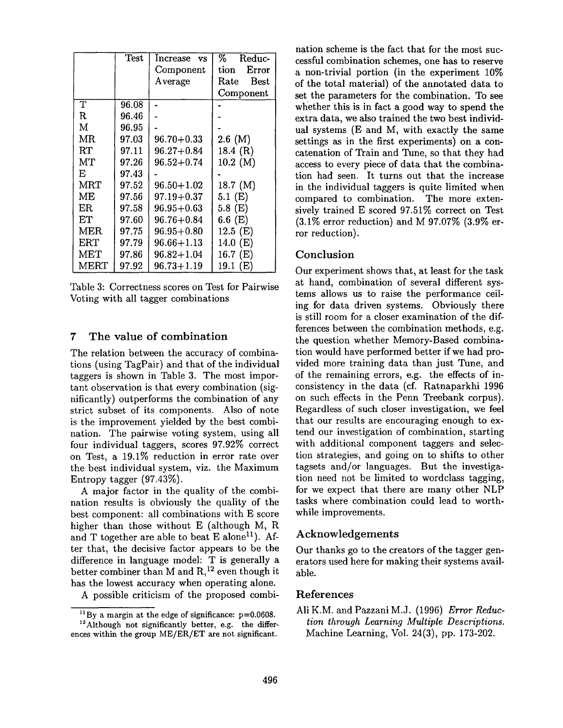|                      | Test  | Increase<br><b>VS</b> | %<br>Reduc-         |
|----------------------|-------|-----------------------|---------------------|
|                      |       | Component             | Error<br>tion       |
|                      |       | Average               | <b>Best</b><br>Rate |
|                      |       |                       | Component           |
| T                    | 96.08 |                       |                     |
| R.                   | 96.46 |                       |                     |
| M                    | 96.95 |                       |                     |
| MR.                  | 97.03 | $96.70 + 0.33$        | $2.6 \, (M)$        |
| RT                   | 97.11 | $96.27 + 0.84$        | 18.4 $(R)$          |
| MТ                   | 97.26 | $96.52 + 0.74$        | $10.2 \, (M)$       |
| F.                   | 97.43 |                       |                     |
| MRT                  | 97.52 | $96.50 + 1.02$        | $18.7 \; (M)$       |
| MЕ                   | 97.56 | 97.19+0.37            | $5.1 \; (E)$        |
| ER                   | 97.58 | $96.95 + 0.63$        | 5.8(E)              |
| ET                   | 97.60 | $96.76 + 0.84$        | 6.6 (E)             |
| MER                  | 97.75 | $96.95 + 0.80$        | 12.5 $(E)$          |
| $\operatorname{ERT}$ | 97.79 | $96.66 + 1.13$        | 14.0 (E)            |
| MET                  | 97.86 | 96.82+1.04            | 16.7 $(E)$          |
| MERT                 | 97.92 | $96.73 + 1.19$        | 19.1 (E)            |

Table 3: Correctness scores on Test for Pairwise Voting with all tagger combinations

## 7 The value of combination

The relation between the accuracy of combinations (using TagPair) and that of the individual taggers is shown in Table 3. The most important observation is that every combination (significantly) outperforms the combination of any strict subset of its components. Also of note is the improvement yielded by the best combination. The pairwise voting system, using all four individual taggers, scores 97.92% correct on Test, a 19.1% reduction in error rate over the best individual system, viz. the Maximum Entropy tagger (97.43%).

A major factor in the quality of the combination results is obviously the quality of the best component: all combinations with E score higher than those without E (although M, R and T together are able to beat E alone<sup>11</sup>). After that, the decisive factor appears to be the difference in language model: T is generally a better combiner than M and  $R<sub>1</sub><sup>12</sup>$  even though it has the lowest accuracy when operating alone.

A possible criticism of the proposed combi-

nation scheme is the fact that for the most successful combination schemes, one has to reserve a non-trivial portion (in the experiment 10% of the total material) of the annotated data to set the parameters for the combination. To see whether this is in fact a good way to spend the extra data, we also trained the two best individual systems (E and M, with exactly the same settings as in the first experiments) on a concatenation of Train and Tune, so that they had access to every piece of data that the combination had seen. It turns out that the increase in the individual taggers is quite limited when compared to combination. The more extensively trained E scored 97.51% correct on Test (3.1% error reduction) and M 97.07% (3.9% error reduction).

## Conclusion

Our experiment shows that, at least for the task at hand, combination of several different systems allows us to raise the performance ceiling for data driven systems. Obviously there is still room for a closer examination of the differences between the combination methods, e.g. the question whether Memory-Based combination would have performed better if we had provided more training data than just Tune, and of the remaining errors, e.g. the effects of inconsistency in the data (cf. Ratnaparkhi 1996 on such effects in the Penn Treebank corpus). Regardless of such closer investigation, we feel that our results are encouraging enough to extend our investigation of combination, starting with additional component taggers and selection strategies, and going on to shifts to other tagsets and/or languages. But the investigation need not be limited to wordclass tagging, for we expect that there are many other NLP tasks where combination could lead to worthwhile improvements.

#### Acknowledgements

Our thanks go to the creators of the tagger generators used here for making their systems available.

## References

All K.M. and Pazzani M.J. (1996) Error *Reduction through Learning Multiple Descriptions.*  Machine Learning, Vol. 24(3), pp. 173-202.

 $11$ By a margin at the edge of significance:  $p=0.0608$ .  $12$ Although not significantly better, e.g. the differences within the group ME/ER/ET are not significant.